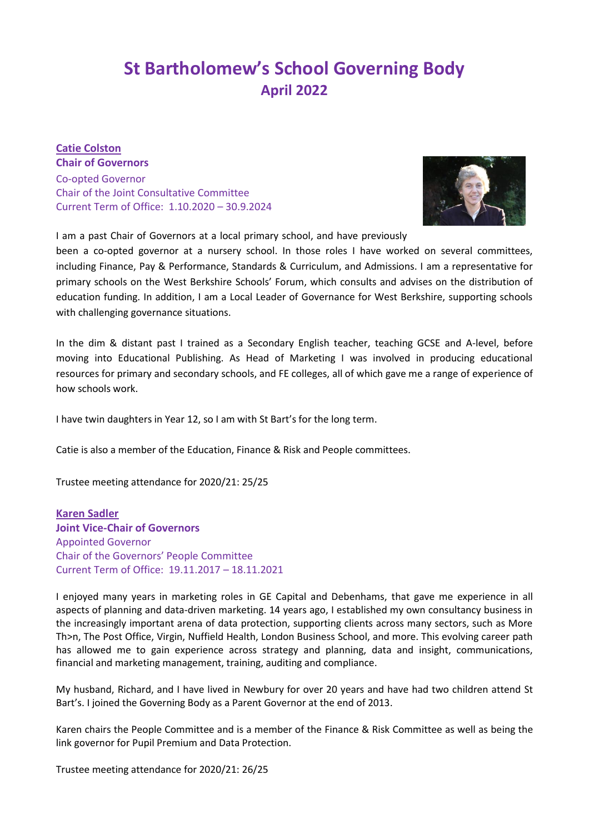# **St Bartholomew's School Governing Body April 2022**

### **Catie Colston Chair of Governors**

Co-opted Governor Chair of the Joint Consultative Committee Current Term of Office: 1.10.2020 – 30.9.2024



I am a past Chair of Governors at a local primary school, and have previously

been a co-opted governor at a nursery school. In those roles I have worked on several committees, including Finance, Pay & Performance, Standards & Curriculum, and Admissions. I am a representative for primary schools on the West Berkshire Schools' Forum, which consults and advises on the distribution of education funding. In addition, I am a Local Leader of Governance for West Berkshire, supporting schools with challenging governance situations.

In the dim & distant past I trained as a Secondary English teacher, teaching GCSE and A-level, before moving into Educational Publishing. As Head of Marketing I was involved in producing educational resources for primary and secondary schools, and FE colleges, all of which gave me a range of experience of how schools work.

I have twin daughters in Year 12, so I am with St Bart's for the long term.

Catie is also a member of the Education, Finance & Risk and People committees.

Trustee meeting attendance for 2020/21: 25/25

**Karen Sadler Joint Vice-Chair of Governors** Appointed Governor Chair of the Governors' People Committee Current Term of Office: 19.11.2017 – 18.11.2021

I enjoyed many years in marketing roles in GE Capital and Debenhams, that gave me experience in all aspects of planning and data-driven marketing. 14 years ago, I established my own consultancy business in the increasingly important arena of data protection, supporting clients across many sectors, such as More Th>n, The Post Office, Virgin, Nuffield Health, London Business School, and more. This evolving career path has allowed me to gain experience across strategy and planning, data and insight, communications, financial and marketing management, training, auditing and compliance.

My husband, Richard, and I have lived in Newbury for over 20 years and have had two children attend St Bart's. I joined the Governing Body as a Parent Governor at the end of 2013.

Karen chairs the People Committee and is a member of the Finance & Risk Committee as well as being the link governor for Pupil Premium and Data Protection.

Trustee meeting attendance for 2020/21: 26/25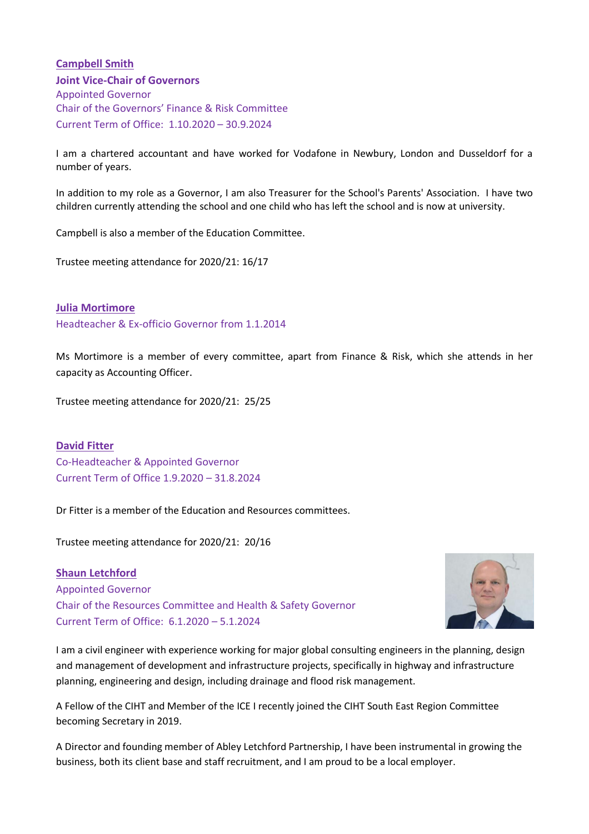### **Campbell Smith**

**Joint Vice-Chair of Governors** Appointed Governor Chair of the Governors' Finance & Risk Committee Current Term of Office: 1.10.2020 – 30.9.2024

I am a chartered accountant and have worked for Vodafone in Newbury, London and Dusseldorf for a number of years.

In addition to my role as a Governor, I am also Treasurer for the School's Parents' Association. I have two children currently attending the school and one child who has left the school and is now at university.

Campbell is also a member of the Education Committee.

Trustee meeting attendance for 2020/21: 16/17

**Julia Mortimore**

Headteacher & Ex-officio Governor from 1.1.2014

Ms Mortimore is a member of every committee, apart from Finance & Risk, which she attends in her capacity as Accounting Officer.

Trustee meeting attendance for 2020/21: 25/25

**David Fitter** Co-Headteacher & Appointed Governor Current Term of Office 1.9.2020 – 31.8.2024

Dr Fitter is a member of the Education and Resources committees.

Trustee meeting attendance for 2020/21: 20/16

**Shaun Letchford** Appointed Governor Chair of the Resources Committee and Health & Safety Governor Current Term of Office: 6.1.2020 – 5.1.2024



I am a civil engineer with experience working for major global consulting engineers in the planning, design and management of development and infrastructure projects, specifically in highway and infrastructure planning, engineering and design, including drainage and flood risk management.

A Fellow of the CIHT and Member of the ICE I recently joined the CIHT South East Region Committee becoming Secretary in 2019.

A Director and founding member of Abley Letchford Partnership, I have been instrumental in growing the business, both its client base and staff recruitment, and I am proud to be a local employer.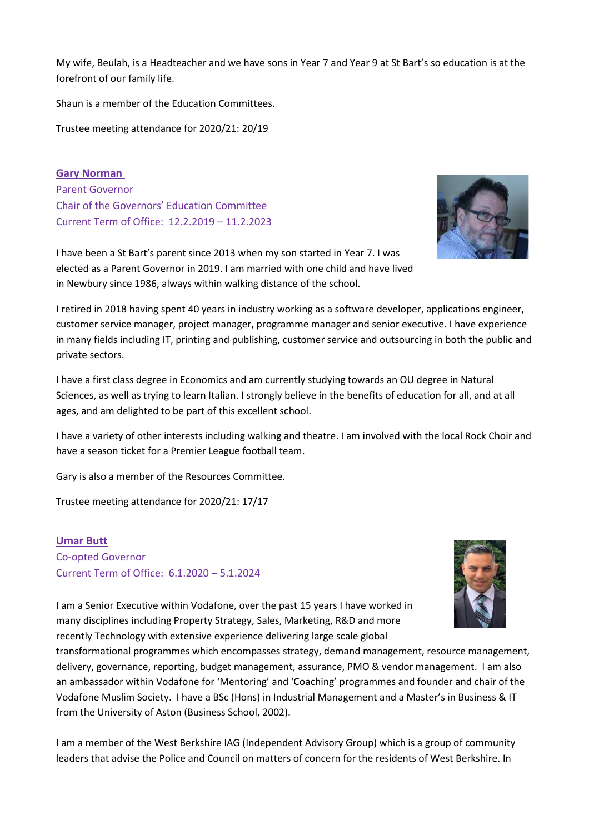My wife, Beulah, is a Headteacher and we have sons in Year 7 and Year 9 at St Bart's so education is at the forefront of our family life.

Shaun is a member of the Education Committees.

Trustee meeting attendance for 2020/21: 20/19

**Gary Norman**  Parent Governor Chair of the Governors' Education Committee Current Term of Office: 12.2.2019 – 11.2.2023



I have been a St Bart's parent since 2013 when my son started in Year 7. I was elected as a Parent Governor in 2019. I am married with one child and have lived in Newbury since 1986, always within walking distance of the school.

I retired in 2018 having spent 40 years in industry working as a software developer, applications engineer, customer service manager, project manager, programme manager and senior executive. I have experience in many fields including IT, printing and publishing, customer service and outsourcing in both the public and private sectors.

I have a first class degree in Economics and am currently studying towards an OU degree in Natural Sciences, as well as trying to learn Italian. I strongly believe in the benefits of education for all, and at all ages, and am delighted to be part of this excellent school.

I have a variety of other interests including walking and theatre. I am involved with the local Rock Choir and have a season ticket for a Premier League football team.

Gary is also a member of the Resources Committee.

Trustee meeting attendance for 2020/21: 17/17

### **Umar Butt**

Co-opted Governor Current Term of Office: 6.1.2020 – 5.1.2024



I am a Senior Executive within Vodafone, over the past 15 years I have worked in many disciplines including Property Strategy, Sales, Marketing, R&D and more recently Technology with extensive experience delivering large scale global

transformational programmes which encompasses strategy, demand management, resource management, delivery, governance, reporting, budget management, assurance, PMO & vendor management. I am also an ambassador within Vodafone for 'Mentoring' and 'Coaching' programmes and founder and chair of the Vodafone Muslim Society. I have a BSc (Hons) in Industrial Management and a Master's in Business & IT from the University of Aston (Business School, 2002).

I am a member of the West Berkshire IAG (Independent Advisory Group) which is a group of community leaders that advise the Police and Council on matters of concern for the residents of West Berkshire. In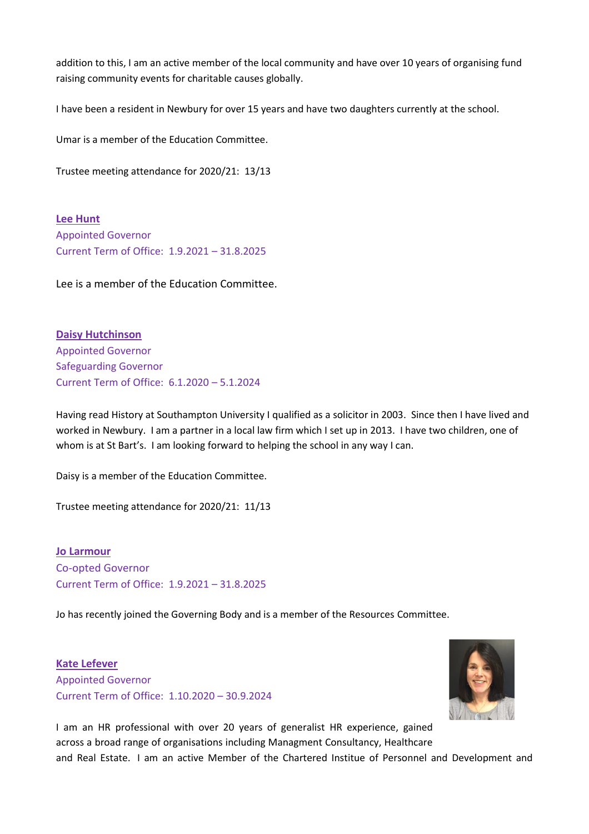addition to this, I am an active member of the local community and have over 10 years of organising fund raising community events for charitable causes globally.

I have been a resident in Newbury for over 15 years and have two daughters currently at the school.

Umar is a member of the Education Committee.

Trustee meeting attendance for 2020/21: 13/13

**Lee Hunt** Appointed Governor Current Term of Office: 1.9.2021 – 31.8.2025

Lee is a member of the Education Committee.

**Daisy Hutchinson** Appointed Governor Safeguarding Governor Current Term of Office: 6.1.2020 – 5.1.2024

Having read History at Southampton University I qualified as a solicitor in 2003. Since then I have lived and worked in Newbury. I am a partner in a local law firm which I set up in 2013. I have two children, one of whom is at St Bart's. I am looking forward to helping the school in any way I can.

Daisy is a member of the Education Committee.

Trustee meeting attendance for 2020/21: 11/13

**Jo Larmour** Co-opted Governor Current Term of Office: 1.9.2021 – 31.8.2025

Jo has recently joined the Governing Body and is a member of the Resources Committee.

**Kate Lefever** Appointed Governor Current Term of Office: 1.10.2020 – 30.9.2024



I am an HR professional with over 20 years of generalist HR experience, gained across a broad range of organisations including Managment Consultancy, Healthcare and Real Estate. I am an active Member of the Chartered Institue of Personnel and Development and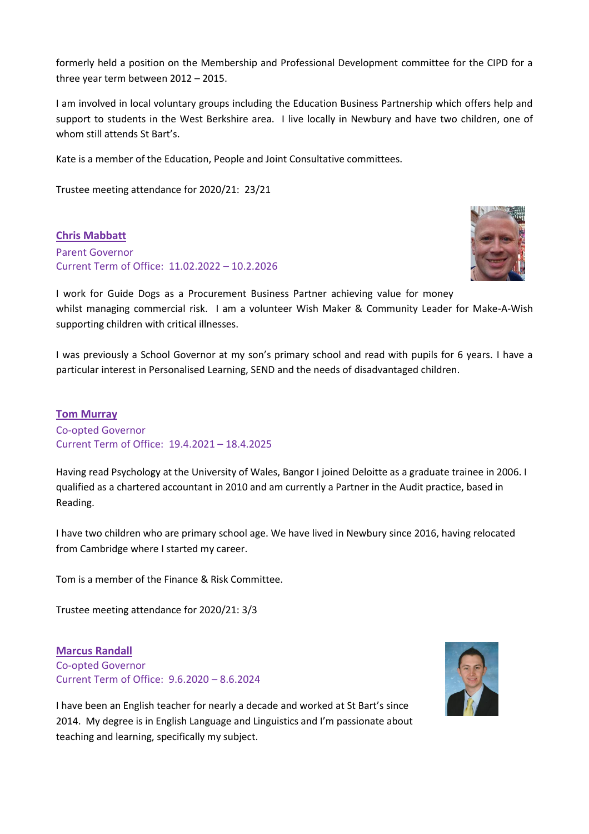formerly held a position on the Membership and Professional Development committee for the CIPD for a three year term between 2012 – 2015.

I am involved in local voluntary groups including the Education Business Partnership which offers help and support to students in the West Berkshire area. I live locally in Newbury and have two children, one of whom still attends St Bart's.

Kate is a member of the Education, People and Joint Consultative committees.

Trustee meeting attendance for 2020/21: 23/21

**Chris Mabbatt** Parent Governor Current Term of Office: 11.02.2022 – 10.2.2026



I work for Guide Dogs as a Procurement Business Partner achieving value for money whilst managing commercial risk. I am a volunteer Wish Maker & Community Leader for Make-A-Wish supporting children with critical illnesses.

I was previously a School Governor at my son's primary school and read with pupils for 6 years. I have a particular interest in Personalised Learning, SEND and the needs of disadvantaged children.

# **Tom Murray** Co-opted Governor Current Term of Office: 19.4.2021 – 18.4.2025

Having read Psychology at the University of Wales, Bangor I joined Deloitte as a graduate trainee in 2006. I qualified as a chartered accountant in 2010 and am currently a Partner in the Audit practice, based in Reading.

I have two children who are primary school age. We have lived in Newbury since 2016, having relocated from Cambridge where I started my career.

Tom is a member of the Finance & Risk Committee.

Trustee meeting attendance for 2020/21: 3/3

**Marcus Randall** Co-opted Governor Current Term of Office: 9.6.2020 – 8.6.2024



I have been an English teacher for nearly a decade and worked at St Bart's since 2014. My degree is in English Language and Linguistics and I'm passionate about teaching and learning, specifically my subject.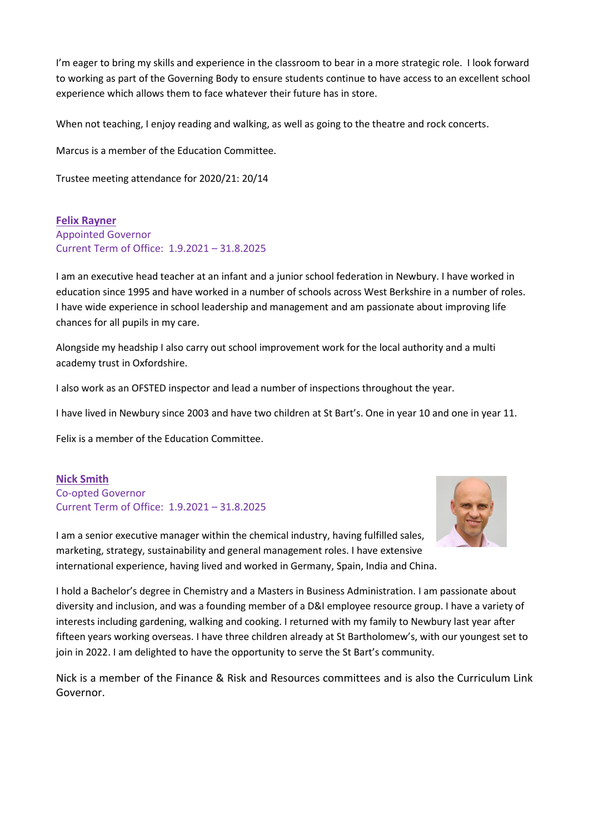I'm eager to bring my skills and experience in the classroom to bear in a more strategic role. I look forward to working as part of the Governing Body to ensure students continue to have access to an excellent school experience which allows them to face whatever their future has in store.

When not teaching, I enjoy reading and walking, as well as going to the theatre and rock concerts.

Marcus is a member of the Education Committee.

Trustee meeting attendance for 2020/21: 20/14

**Felix Rayner** Appointed Governor Current Term of Office: 1.9.2021 – 31.8.2025

I am an executive head teacher at an infant and a junior school federation in Newbury. I have worked in education since 1995 and have worked in a number of schools across West Berkshire in a number of roles. I have wide experience in school leadership and management and am passionate about improving life chances for all pupils in my care.

Alongside my headship I also carry out school improvement work for the local authority and a multi academy trust in Oxfordshire.

I also work as an OFSTED inspector and lead a number of inspections throughout the year.

I have lived in Newbury since 2003 and have two children at St Bart's. One in year 10 and one in year 11.

Felix is a member of the Education Committee.

### **Nick Smith** Co-opted Governor Current Term of Office: 1.9.2021 – 31.8.2025



I am a senior executive manager within the chemical industry, having fulfilled sales, marketing, strategy, sustainability and general management roles. I have extensive international experience, having lived and worked in Germany, Spain, India and China.

I hold a Bachelor's degree in Chemistry and a Masters in Business Administration. I am passionate about diversity and inclusion, and was a founding member of a D&I employee resource group. I have a variety of interests including gardening, walking and cooking. I returned with my family to Newbury last year after fifteen years working overseas. I have three children already at St Bartholomew's, with our youngest set to join in 2022. I am delighted to have the opportunity to serve the St Bart's community.

Nick is a member of the Finance & Risk and Resources committees and is also the Curriculum Link Governor.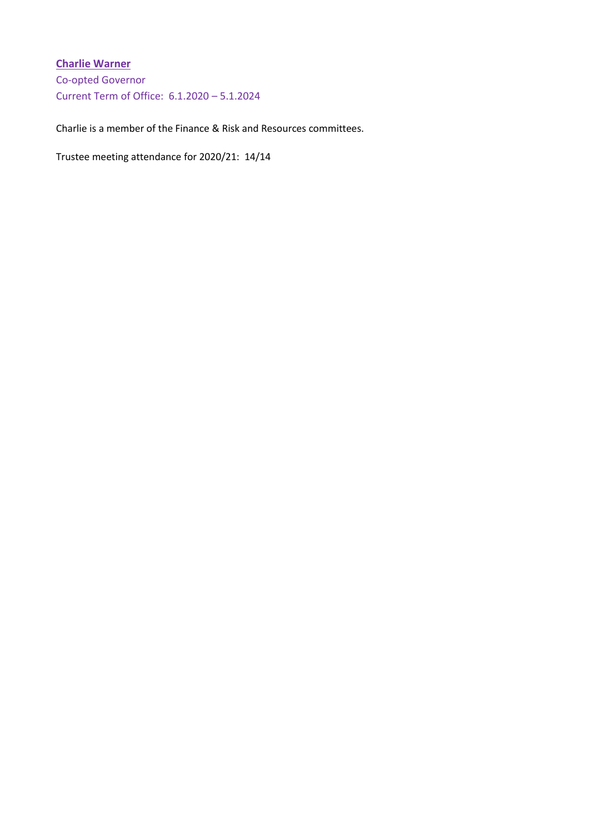# **Charlie Warner**

Co-opted Governor Current Term of Office: 6.1.2020 – 5.1.2024

Charlie is a member of the Finance & Risk and Resources committees.

Trustee meeting attendance for 2020/21: 14/14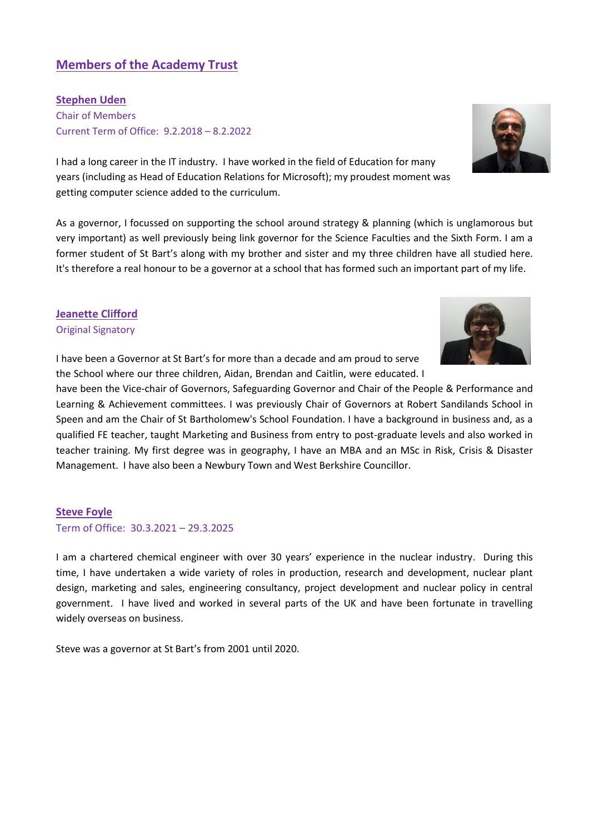# **Members of the Academy Trust**

**Stephen Uden** Chair of Members Current Term of Office: 9.2.2018 – 8.2.2022

I had a long career in the IT industry. I have worked in the field of Education for many years (including as Head of Education Relations for Microsoft); my proudest moment was getting computer science added to the curriculum.

As a governor, I focussed on supporting the school around strategy & planning (which is unglamorous but very important) as well previously being link governor for the Science Faculties and the Sixth Form. I am a former student of St Bart's along with my brother and sister and my three children have all studied here. It's therefore a real honour to be a governor at a school that has formed such an important part of my life.

### **Jeanette Clifford**

Original Signatory

I have been a Governor at St Bart's for more than a decade and am proud to serve the School where our three children, Aidan, Brendan and Caitlin, were educated. I

have been the Vice-chair of Governors, Safeguarding Governor and Chair of the People & Performance and Learning & Achievement committees. I was previously Chair of Governors at Robert Sandilands School in Speen and am the Chair of St Bartholomew's School Foundation. I have a background in business and, as a qualified FE teacher, taught Marketing and Business from entry to post-graduate levels and also worked in teacher training. My first degree was in geography, I have an MBA and an MSc in Risk, Crisis & Disaster Management. I have also been a Newbury Town and West Berkshire Councillor.

### **Steve Foyle**

Term of Office: 30.3.2021 – 29.3.2025

I am a chartered chemical engineer with over 30 years' experience in the nuclear industry. During this time, I have undertaken a wide variety of roles in production, research and development, nuclear plant design, marketing and sales, engineering consultancy, project development and nuclear policy in central government. I have lived and worked in several parts of the UK and have been fortunate in travelling widely overseas on business.

Steve was a governor at St Bart's from 2001 until 2020.